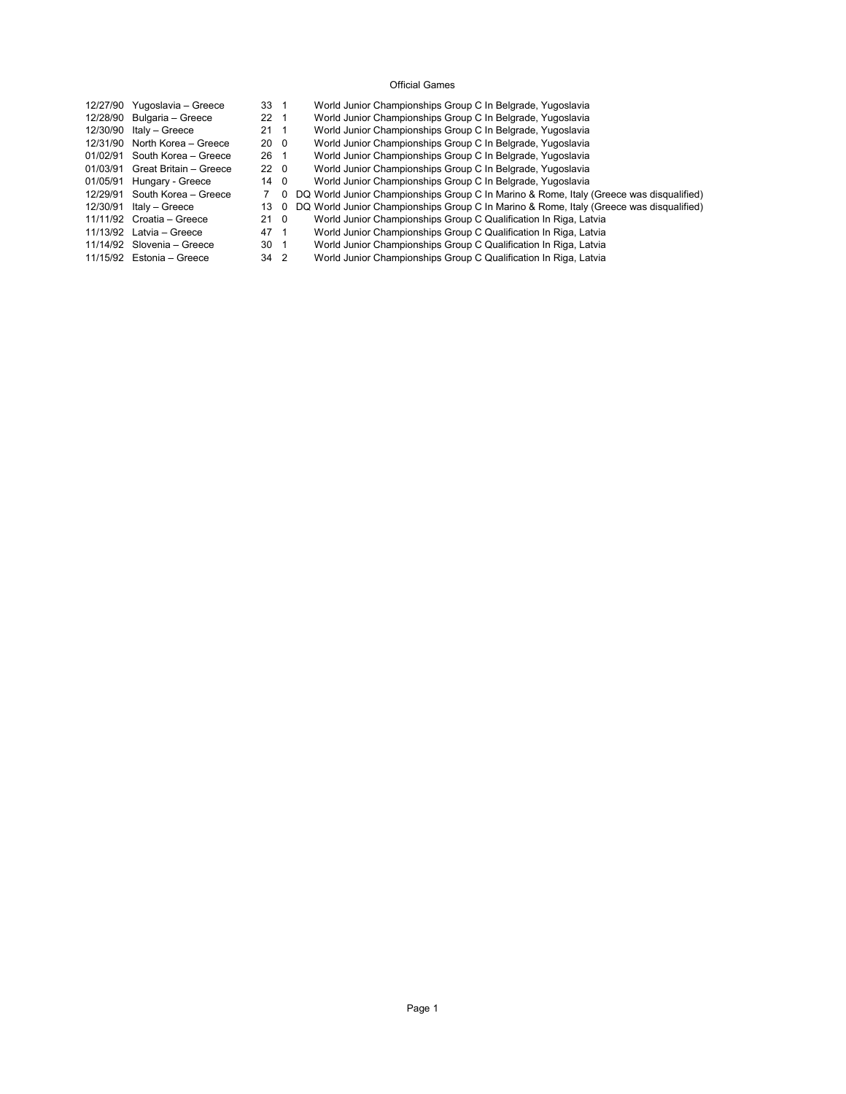## Official Games

|          | 12/27/90 Yugoslavia - Greece    | 33 <sub>1</sub> |                | World Junior Championships Group C In Belgrade, Yugoslavia                              |
|----------|---------------------------------|-----------------|----------------|-----------------------------------------------------------------------------------------|
|          | 12/28/90 Bulgaria - Greece      | $22 \quad 1$    |                | World Junior Championships Group C In Belgrade, Yugoslavia                              |
|          | $12/30/90$ Italy - Greece       | $21 \quad 1$    |                | World Junior Championships Group C In Belgrade, Yugoslavia                              |
|          | 12/31/90 North Korea - Greece   | 20 0            |                | World Junior Championships Group C In Belgrade, Yugoslavia                              |
|          | 01/02/91 South Korea - Greece   | $26 \quad 1$    |                | World Junior Championships Group C In Belgrade, Yugoslavia                              |
|          | 01/03/91 Great Britain - Greece | $22 \quad 0$    |                | World Junior Championships Group C In Belgrade, Yugoslavia                              |
| 01/05/91 | Hungary - Greece                | 14 0            |                | World Junior Championships Group C In Belgrade, Yugoslavia                              |
|          | 12/29/91 South Korea - Greece   |                 | 0              | DQ World Junior Championships Group C In Marino & Rome, Italy (Greece was disqualified) |
| 12/30/91 | Italy - Greece                  | 13              | $\overline{0}$ | DQ World Junior Championships Group C In Marino & Rome, Italy (Greece was disqualified) |
|          | 11/11/92 Croatia - Greece       | $21 \quad 0$    |                | World Junior Championships Group C Qualification In Riga, Latvia                        |
|          | $11/13/92$ Latvia – Greece      | 47 1            |                | World Junior Championships Group C Qualification In Riga, Latvia                        |
|          | 11/14/92 Slovenia – Greece      | $30 \quad 1$    |                | World Junior Championships Group C Qualification In Riga, Latvia                        |
|          | 11/15/92 Estonia - Greece       | 34 2            |                | World Junior Championships Group C Qualification In Riga, Latvia                        |
|          |                                 |                 |                |                                                                                         |